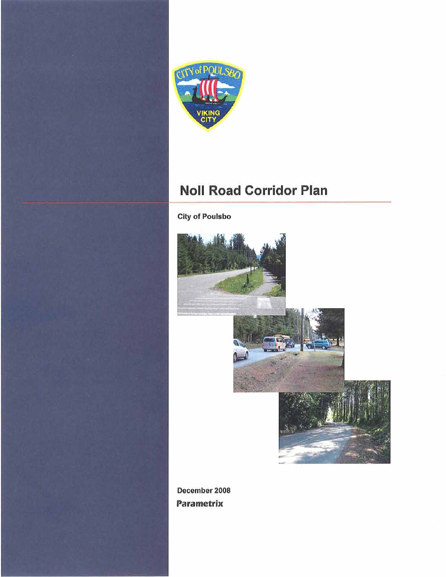

# **Noll Road Corridor Plan**

**City of Poulsbo** 



December 2008 Parametrix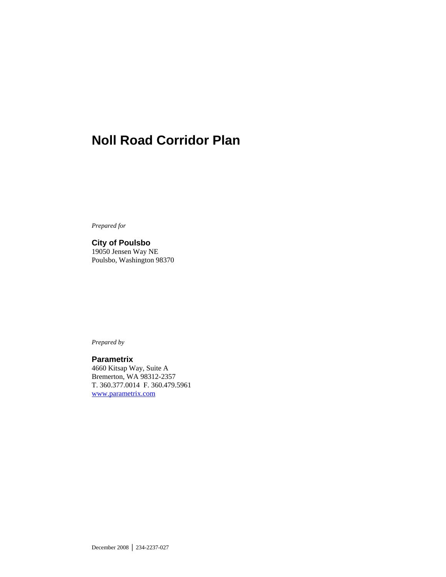## **Noll Road Corridor Plan**

*Prepared for* 

**City of Poulsbo**  19050 Jensen Way NE Poulsbo, Washington 98370

*Prepared by* 

**Parametrix**  4660 Kitsap Way, Suite A Bremerton, WA 98312-2357 T. 360.377.0014 F. 360.479.5961 www.parametrix.com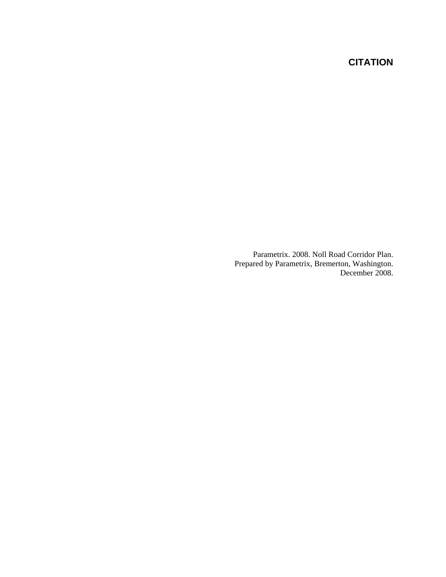#### **CITATION**

Parametrix. 2008. Noll Road Corridor Plan. Prepared by Parametrix, Bremerton, Washington. December 2008.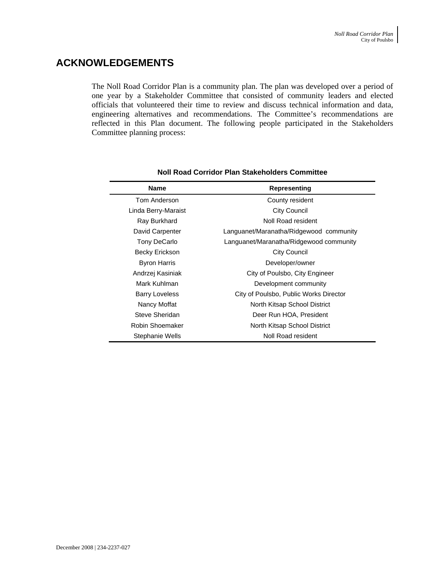#### **ACKNOWLEDGEMENTS**

The Noll Road Corridor Plan is a community plan. The plan was developed over a period of one year by a Stakeholder Committee that consisted of community leaders and elected officials that volunteered their time to review and discuss technical information and data, engineering alternatives and recommendations. The Committee's recommendations are reflected in this Plan document. The following people participated in the Stakeholders Committee planning process:

| <b>Name</b>           | Representing                            |
|-----------------------|-----------------------------------------|
| Tom Anderson          | County resident                         |
| Linda Berry-Maraist   | <b>City Council</b>                     |
| Ray Burkhard          | Noll Road resident                      |
| David Carpenter       | Languanet/Maranatha/Ridgewood community |
| Tony DeCarlo          | Languanet/Maranatha/Ridgewood community |
| Becky Erickson        | City Council                            |
| <b>Byron Harris</b>   | Developer/owner                         |
| Andrzej Kasiniak      | City of Poulsbo, City Engineer          |
| Mark Kuhlman          | Development community                   |
| <b>Barry Loveless</b> | City of Poulsbo, Public Works Director  |
| Nancy Moffat          | North Kitsap School District            |
| Steve Sheridan        | Deer Run HOA, President                 |
| Robin Shoemaker       | North Kitsap School District            |
| Stephanie Wells       | Noll Road resident                      |

#### **Noll Road Corridor Plan Stakeholders Committee**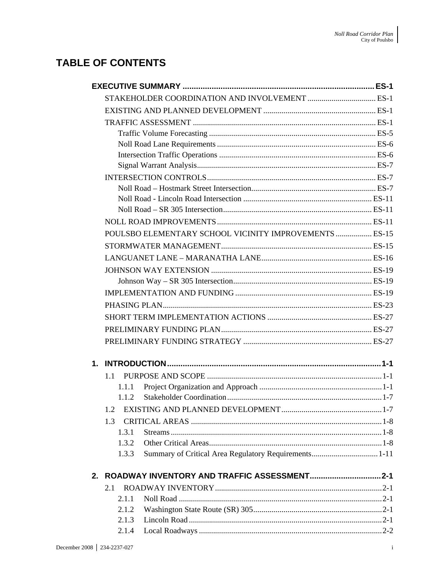### **TABLE OF CONTENTS**

| POULSBO ELEMENTARY SCHOOL VICINITY IMPROVEMENTS  ES-15 |  |
|--------------------------------------------------------|--|
|                                                        |  |
|                                                        |  |
|                                                        |  |
|                                                        |  |
|                                                        |  |
|                                                        |  |
|                                                        |  |
|                                                        |  |
|                                                        |  |
|                                                        |  |
| 1.1                                                    |  |
| 1.1.1                                                  |  |
| 1.1.2                                                  |  |
| 1.2                                                    |  |
| 1.3                                                    |  |
| 1.3.1                                                  |  |
| 1.3.2                                                  |  |
| 1.3.3                                                  |  |
|                                                        |  |
| 2.1                                                    |  |
| 2.1.1                                                  |  |
| 2.1.2                                                  |  |
| 2.1.3                                                  |  |
| 2.1.4                                                  |  |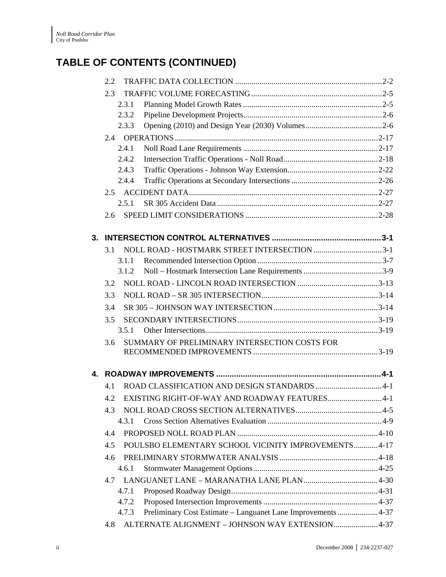|    | 2.2   |                                                              |  |
|----|-------|--------------------------------------------------------------|--|
|    | 2.3   |                                                              |  |
|    | 2.3.1 |                                                              |  |
|    | 2.3.2 |                                                              |  |
|    | 2.3.3 |                                                              |  |
|    |       |                                                              |  |
|    | 2.4.1 |                                                              |  |
|    | 2.4.2 |                                                              |  |
|    | 2.4.3 |                                                              |  |
|    | 2.4.4 |                                                              |  |
|    |       |                                                              |  |
|    | 2.5.1 |                                                              |  |
|    | 2.6   |                                                              |  |
| 3. |       |                                                              |  |
|    | 3.1   |                                                              |  |
|    | 3.1.1 |                                                              |  |
|    | 3.1.2 |                                                              |  |
|    | 3.2   |                                                              |  |
|    | 3.3   |                                                              |  |
|    | 3.4   |                                                              |  |
|    | 3.5   |                                                              |  |
|    | 3.5.1 |                                                              |  |
|    | 3.6   | SUMMARY OF PRELIMINARY INTERSECTION COSTS FOR                |  |
|    |       |                                                              |  |
|    |       |                                                              |  |
|    | 4.1   |                                                              |  |
|    | 4.2   | EXISTING RIGHT-OF-WAY AND ROADWAY FEATURES 4-1               |  |
|    | 4.3   |                                                              |  |
|    | 4.3.1 |                                                              |  |
|    | 4.4   |                                                              |  |
|    | 4.5   | POULSBO ELEMENTARY SCHOOL VICINITY IMPROVEMENTS4-17          |  |
|    | 4.6   |                                                              |  |
|    | 4.6.1 |                                                              |  |
|    | 4.7   |                                                              |  |
|    | 4.7.1 |                                                              |  |
|    | 4.7.2 |                                                              |  |
|    | 4.7.3 | Preliminary Cost Estimate - Languanet Lane Improvements 4-37 |  |
|    | 4.8   | ALTERNATE ALIGNMENT - JOHNSON WAY EXTENSION4-37              |  |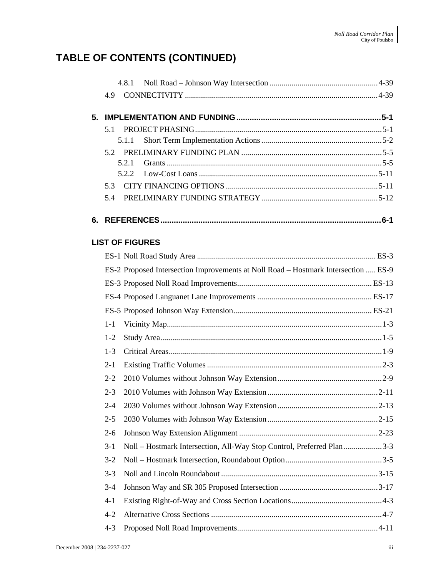|    |         | 4.8.1                                                                              |  |
|----|---------|------------------------------------------------------------------------------------|--|
|    | 4.9     |                                                                                    |  |
| 5. |         |                                                                                    |  |
|    | 5.1     |                                                                                    |  |
|    |         | 5.1.1                                                                              |  |
|    | 5.2     |                                                                                    |  |
|    |         | 5.2.1                                                                              |  |
|    | 5.3     | 5.2.2                                                                              |  |
|    | 5.4     |                                                                                    |  |
|    |         |                                                                                    |  |
|    |         |                                                                                    |  |
|    |         | <b>LIST OF FIGURES</b>                                                             |  |
|    |         |                                                                                    |  |
|    |         | ES-2 Proposed Intersection Improvements at Noll Road - Hostmark Intersection  ES-9 |  |
|    |         |                                                                                    |  |
|    |         |                                                                                    |  |
|    |         |                                                                                    |  |
|    | $1-1$   |                                                                                    |  |
|    | $1-2$   |                                                                                    |  |
|    | $1-3$   |                                                                                    |  |
|    | $2 - 1$ |                                                                                    |  |
|    | $2 - 2$ |                                                                                    |  |
|    | $2 - 3$ |                                                                                    |  |
|    | $2 - 4$ |                                                                                    |  |
|    | $2 - 5$ |                                                                                    |  |
|    | $2 - 6$ |                                                                                    |  |
|    | $3 - 1$ | Noll – Hostmark Intersection, All-Way Stop Control, Preferred Plan 3-3             |  |
|    | $3 - 2$ |                                                                                    |  |
|    | $3 - 3$ |                                                                                    |  |
|    | $3-4$   |                                                                                    |  |
|    | $4 - 1$ |                                                                                    |  |
|    | $4 - 2$ |                                                                                    |  |
|    | $4 - 3$ |                                                                                    |  |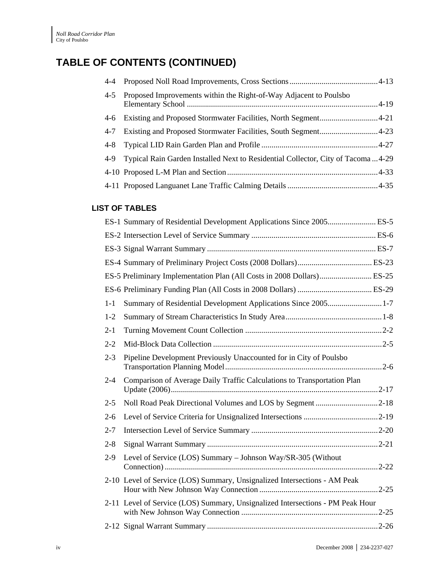|     | 4-5 Proposed Improvements within the Right-of-Way Adjacent to Poulsbo                 |
|-----|---------------------------------------------------------------------------------------|
|     | 4-6 Existing and Proposed Stormwater Facilities, North Segment4-21                    |
| 4-7 |                                                                                       |
|     |                                                                                       |
|     | 4-9 Typical Rain Garden Installed Next to Residential Collector, City of Tacoma  4-29 |
|     |                                                                                       |
|     |                                                                                       |

#### **LIST OF TABLES**

| ES-5 Preliminary Implementation Plan (All Costs in 2008 Dollars) ES-25             |  |
|------------------------------------------------------------------------------------|--|
|                                                                                    |  |
| Summary of Residential Development Applications Since 20051-7<br>$1-1$             |  |
| $1 - 2$                                                                            |  |
| $2 - 1$                                                                            |  |
| $2 - 2$                                                                            |  |
| Pipeline Development Previously Unaccounted for in City of Poulsbo<br>$2 - 3$      |  |
| Comparison of Average Daily Traffic Calculations to Transportation Plan<br>$2 - 4$ |  |
| Noll Road Peak Directional Volumes and LOS by Segment 2-18<br>$2 - 5$              |  |
| $2 - 6$                                                                            |  |
| $2 - 7$                                                                            |  |
| $2 - 8$                                                                            |  |
| Level of Service (LOS) Summary - Johnson Way/SR-305 (Without<br>$2 - 9$            |  |
| 2-10 Level of Service (LOS) Summary, Unsignalized Intersections - AM Peak          |  |
| 2-11 Level of Service (LOS) Summary, Unsignalized Intersections - PM Peak Hour     |  |
|                                                                                    |  |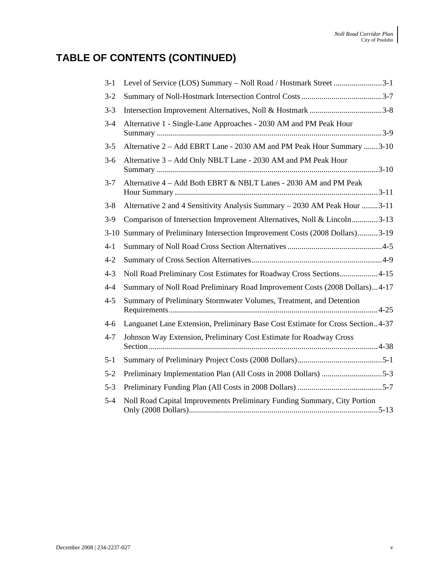| $3-1$   | Level of Service (LOS) Summary - Noll Road / Hostmark Street 3-1               |
|---------|--------------------------------------------------------------------------------|
| $3 - 2$ |                                                                                |
| $3 - 3$ |                                                                                |
| $3 - 4$ | Alternative 1 - Single-Lane Approaches - 2030 AM and PM Peak Hour              |
| $3 - 5$ | Alternative 2 - Add EBRT Lane - 2030 AM and PM Peak Hour Summary 3-10          |
| $3 - 6$ | Alternative 3 - Add Only NBLT Lane - 2030 AM and PM Peak Hour                  |
| $3 - 7$ | Alternative 4 - Add Both EBRT & NBLT Lanes - 2030 AM and PM Peak               |
| $3 - 8$ | Alternative 2 and 4 Sensitivity Analysis Summary - 2030 AM Peak Hour  3-11     |
| $3-9$   | Comparison of Intersection Improvement Alternatives, Noll & Lincoln3-13        |
| $3-10$  | Summary of Preliminary Intersection Improvement Costs (2008 Dollars)3-19       |
| $4 - 1$ |                                                                                |
|         |                                                                                |
| $4 - 2$ |                                                                                |
| $4 - 3$ | Noll Road Preliminary Cost Estimates for Roadway Cross Sections4-15            |
| $4 - 4$ | Summary of Noll Road Preliminary Road Improvement Costs (2008 Dollars)4-17     |
| $4 - 5$ | Summary of Preliminary Stormwater Volumes, Treatment, and Detention            |
| $4 - 6$ | Languanet Lane Extension, Preliminary Base Cost Estimate for Cross Section4-37 |
| $4 - 7$ | Johnson Way Extension, Preliminary Cost Estimate for Roadway Cross             |
| $5 - 1$ |                                                                                |
| $5 - 2$ |                                                                                |
| $5 - 3$ |                                                                                |